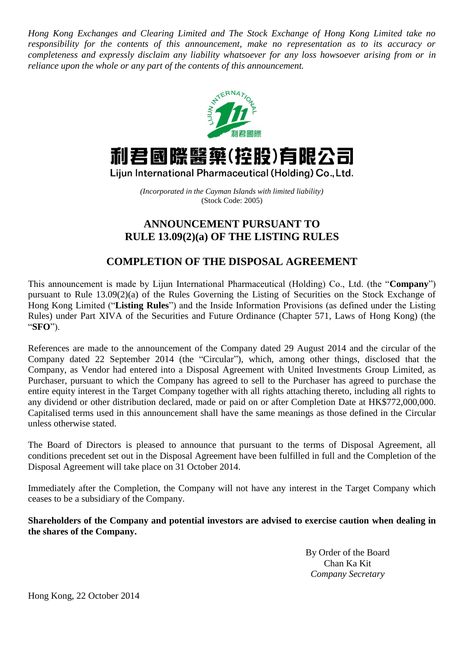*Hong Kong Exchanges and Clearing Limited and The Stock Exchange of Hong Kong Limited take no responsibility for the contents of this announcement, make no representation as to its accuracy or completeness and expressly disclaim any liability whatsoever for any loss howsoever arising from or in reliance upon the whole or any part of the contents of this announcement.*



## 利君國際醫藥(控股)有限公司

Lijun International Pharmaceutical (Holding) Co., Ltd.

*(Incorporated in the Cayman Islands with limited liability)* (Stock Code: 2005)

## **ANNOUNCEMENT PURSUANT TO RULE 13.09(2)(a) OF THE LISTING RULES**

## **COMPLETION OF THE DISPOSAL AGREEMENT**

This announcement is made by Lijun International Pharmaceutical (Holding) Co., Ltd. (the "**Company**") pursuant to Rule 13.09(2)(a) of the Rules Governing the Listing of Securities on the Stock Exchange of Hong Kong Limited ("**Listing Rules**") and the Inside Information Provisions (as defined under the Listing Rules) under Part XIVA of the Securities and Future Ordinance (Chapter 571, Laws of Hong Kong) (the "**SFO**").

References are made to the announcement of the Company dated 29 August 2014 and the circular of the Company dated 22 September 2014 (the "Circular"), which, among other things, disclosed that the Company, as Vendor had entered into a Disposal Agreement with United Investments Group Limited, as Purchaser, pursuant to which the Company has agreed to sell to the Purchaser has agreed to purchase the entire equity interest in the Target Company together with all rights attaching thereto, including all rights to any dividend or other distribution declared, made or paid on or after Completion Date at HK\$772,000,000. Capitalised terms used in this announcement shall have the same meanings as those defined in the Circular unless otherwise stated.

The Board of Directors is pleased to announce that pursuant to the terms of Disposal Agreement, all conditions precedent set out in the Disposal Agreement have been fulfilled in full and the Completion of the Disposal Agreement will take place on 31 October 2014.

Immediately after the Completion, the Company will not have any interest in the Target Company which ceases to be a subsidiary of the Company.

**Shareholders of the Company and potential investors are advised to exercise caution when dealing in the shares of the Company.**

> By Order of the Board Chan Ka Kit *Company Secretary*

Hong Kong, 22 October 2014